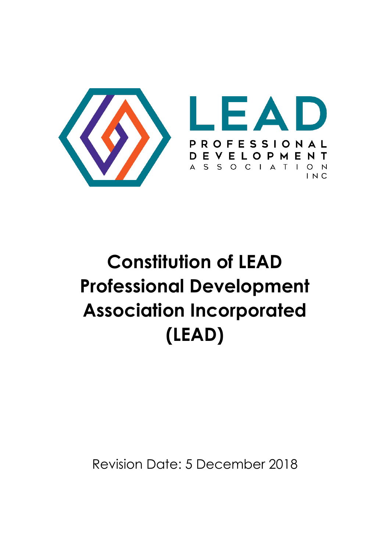

# **Constitution of LEAD Professional Development Association Incorporated (LEAD)**

Revision Date: 5 December 2018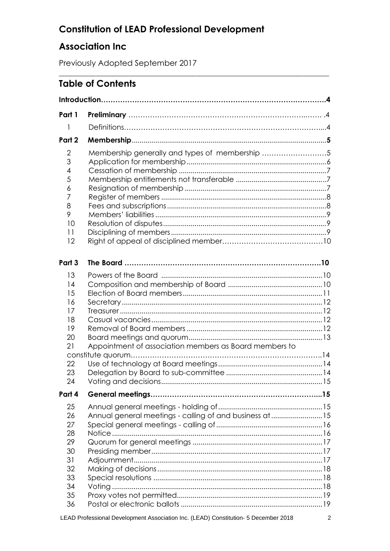# **Constitution of LEAD Professional Development**

\_\_\_\_\_\_\_\_\_\_\_\_\_\_\_\_\_\_\_\_\_\_\_\_\_\_\_\_\_\_\_\_\_\_\_\_\_\_\_\_\_\_\_\_\_\_\_\_\_\_\_\_\_\_\_\_\_\_\_\_\_\_\_\_\_\_\_\_\_\_\_\_\_\_\_

## **Association Inc**

Previously Adopted September 2017

## **Table of Contents**

| Part 1                                                               |                                                                             |  |  |
|----------------------------------------------------------------------|-----------------------------------------------------------------------------|--|--|
| 1                                                                    |                                                                             |  |  |
| Part 2                                                               |                                                                             |  |  |
| 2<br>3<br>4<br>5<br>6<br>7<br>8<br>9<br>10<br>11<br>12               | Membership generally and types of membership 5                              |  |  |
| Part 3                                                               |                                                                             |  |  |
| 13<br>14<br>15<br>16<br>17<br>18<br>19<br>20<br>21<br>22<br>23<br>24 | Appointment of association members as Board members to<br>constitute quorum |  |  |
| Part 4                                                               |                                                                             |  |  |
| 25<br>26<br>27<br>28<br>29<br>30<br>31<br>32<br>33<br>34<br>35<br>36 | Annual general meetings - calling of and business at 15                     |  |  |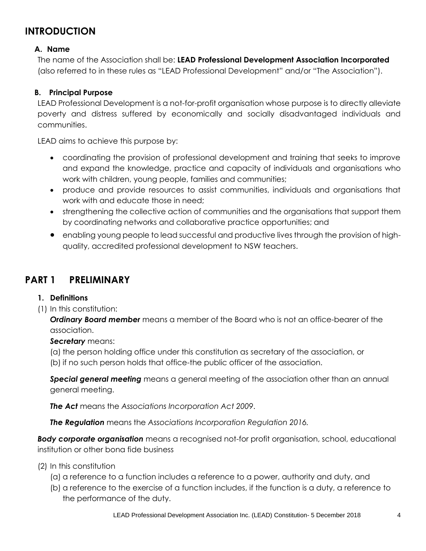## **INTRODUCTION**

#### **A. Name**

The name of the Association shall be: **LEAD Professional Development Association Incorporated**  (also referred to in these rules as "LEAD Professional Development" and/or "The Association").

#### **B. Principal Purpose**

LEAD Professional Development is a not-for-profit organisation whose purpose is to directly alleviate poverty and distress suffered by economically and socially disadvantaged individuals and communities.

LEAD aims to achieve this purpose by:

- coordinating the provision of professional development and training that seeks to improve and expand the knowledge, practice and capacity of individuals and organisations who work with children, young people, families and communities;
- produce and provide resources to assist communities, individuals and organisations that work with and educate those in need;
- strengthening the collective action of communities and the organisations that support them by coordinating networks and collaborative practice opportunities; and
- enabling young people to lead successful and productive lives through the provision of highquality, accredited professional development to NSW teachers.

#### **PART 1 PRELIMINARY**

#### **1. Definitions**

(1) In this constitution:

*Ordinary Board member* means a member of the Board who is not an office-bearer of the association.

*Secretary* means:

(a) the person holding office under this constitution as secretary of the association, or

(b) if no such person holds that office-the public officer of the association.

*Special general meeting* means a general meeting of the association other than an annual general meeting.

*The Act* means the *Associations Incorporation Act 2009*.

*The Regulation* means the *Associations Incorporation Regulation 2016.*

*Body corporate organisation* means a recognised not-for profit organisation, school, educational institution or other bona fide business

- (2) In this constitution
	- (a) a reference to a function includes a reference to a power, authority and duty, and
	- (b) a reference to the exercise of a function includes, if the function is a duty, a reference to the performance of the duty.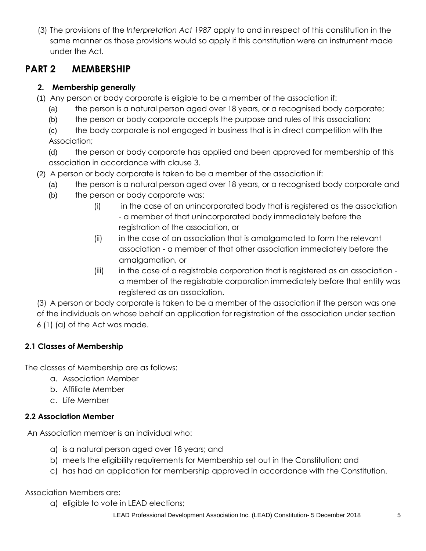(3) The provisions of the *Interpretation Act 1987* apply to and in respect of this constitution in the same manner as those provisions would so apply if this constitution were an instrument made under the Act.

#### **PART 2 MEMBERSHIP**

#### **2. Membership generally**

- (1) Any person or body corporate is eligible to be a member of the association if:
	- (a) the person is a natural person aged over 18 years, or a recognised body corporate;
	- (b) the person or body corporate accepts the purpose and rules of this association;

(c) the body corporate is not engaged in business that is in direct competition with the Association;

(d) the person or body corporate has applied and been approved for membership of this association in accordance with clause 3.

- (2) A person or body corporate is taken to be a member of the association if:
	- (a) the person is a natural person aged over 18 years, or a recognised body corporate and
	- (b) the person or body corporate was:
		- (i) in the case of an unincorporated body that is registered as the association - a member of that unincorporated body immediately before the registration of the association, or
		- (ii) in the case of an association that is amalgamated to form the relevant association - a member of that other association immediately before the amalgamation, or
		- (iii) in the case of a registrable corporation that is registered as an association a member of the registrable corporation immediately before that entity was registered as an association.

(3) A person or body corporate is taken to be a member of the association if the person was one of the individuals on whose behalf an application for registration of the association under section 6 (1) (a) of the Act was made.

#### **2.1 Classes of Membership**

The classes of Membership are as follows:

- a. Association Member
- b. Affiliate Member
- c. Life Member

#### **2.2 Association Member**

An Association member is an individual who:

- a) is a natural person aged over 18 years; and
- b) meets the eligibility requirements for Membership set out in the Constitution; and
- c) has had an application for membership approved in accordance with the Constitution.

Association Members are:

a) eligible to vote in LEAD elections;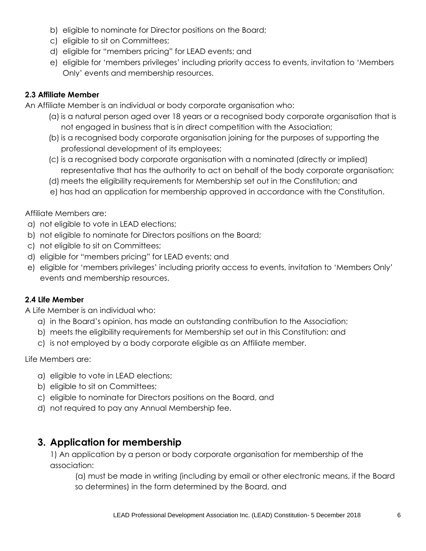- b) eligible to nominate for Director positions on the Board;
- c) eligible to sit on Committees;
- d) eligible for "members pricing" for LEAD events; and
- e) eligible for 'members privileges' including priority access to events, invitation to 'Members Only' events and membership resources.

#### **2.3 Affiliate Member**

An Affiliate Member is an individual or body corporate organisation who:

- (a) is a natural person aged over 18 years or a recognised body corporate organisation that is not engaged in business that is in direct competition with the Association;
- (b) is a recognised body corporate organisation joining for the purposes of supporting the professional development of its employees;
- (c) is a recognised body corporate organisation with a nominated (directly or implied) representative that has the authority to act on behalf of the body corporate organisation;
- (d) meets the eligibility requirements for Membership set out in the Constitution; and
- e) has had an application for membership approved in accordance with the Constitution.

Affiliate Members are:

- a) not eligible to vote in LEAD elections;
- b) not eligible to nominate for Directors positions on the Board;
- c) not eligible to sit on Committees;
- d) eligible for "members pricing" for LEAD events; and
- e) eligible for 'members privileges' including priority access to events, invitation to 'Members Only' events and membership resources.

#### **2.4 Life Member**

A Life Member is an individual who:

- a) in the Board's opinion, has made an outstanding contribution to the Association;
- b) meets the eligibility requirements for Membership set out in this Constitution: and
- c) is not employed by a body corporate eligible as an Affiliate member.

Life Members are:

- a) eligible to vote in LEAD elections;
- b) eligible to sit on Committees;
- c) eligible to nominate for Directors positions on the Board, and
- d) not required to pay any Annual Membership fee.

#### **3. Application for membership**

1) An application by a person or body corporate organisation for membership of the association:

(a) must be made in writing (including by email or other electronic means, if the Board so determines) in the form determined by the Board, and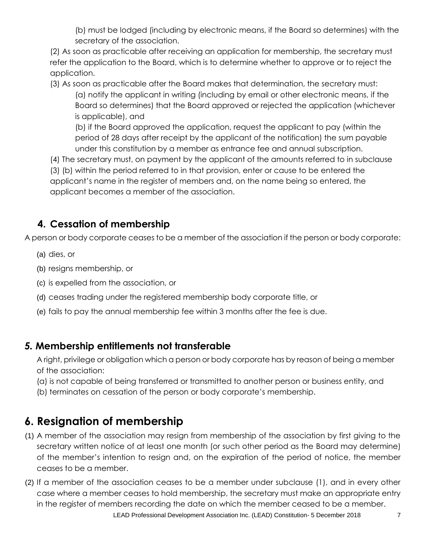(b) must be lodged (including by electronic means, if the Board so determines) with the secretary of the association.

(2) As soon as practicable after receiving an application for membership, the secretary must refer the application to the Board, which is to determine whether to approve or to reject the application.

(3) As soon as practicable after the Board makes that determination, the secretary must: (a) notify the applicant in writing (including by email or other electronic means, if the Board so determines) that the Board approved or rejected the application (whichever is applicable), and

(b) if the Board approved the application, request the applicant to pay (within the period of 28 days after receipt by the applicant of the notification) the sum payable under this constitution by a member as entrance fee and annual subscription.

(4) The secretary must, on payment by the applicant of the amounts referred to in subclause

(3) (b) within the period referred to in that provision, enter or cause to be entered the applicant's name in the register of members and, on the name being so entered, the applicant becomes a member of the association.

# **4. Cessation of membership**

A person or body corporate ceases to be a member of the association if the person or body corporate:

- (a) dies, or
- (b) resigns membership, or
- (c) is expelled from the association, or
- (d) ceases trading under the registered membership body corporate title, or
- (e) fails to pay the annual membership fee within 3 months after the fee is due.

#### *5.* **Membership entitlements not transferable**

A right, privilege or obligation which a person or body corporate has by reason of being a member of the association:

- (a) is not capable of being transferred or transmitted to another person or business entity, and
- (b) terminates on cessation of the person or body corporate's membership.

# **6. Resignation of membership**

- (1) A member of the association may resign from membership of the association by first giving to the secretary written notice of at least one month (or such other period as the Board may determine) of the member's intention to resign and, on the expiration of the period of notice, the member ceases to be a member.
- (2) If a member of the association ceases to be a member under subclause (1), and in every other case where a member ceases to hold membership, the secretary must make an appropriate entry in the register of members recording the date on which the member ceased to be a member.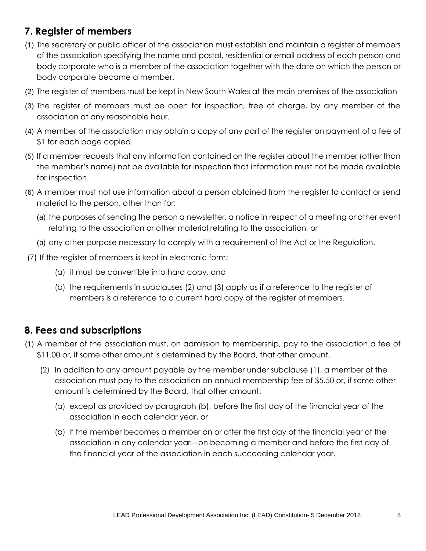## **7. Register of members**

- (1) The secretary or public officer of the association must establish and maintain a register of members of the association specifying the name and postal, residential or email address of each person and body corporate who is a member of the association together with the date on which the person or body corporate became a member.
- (2) The register of members must be kept in New South Wales at the main premises of the association
- (3) The register of members must be open for inspection, free of charge, by any member of the association at any reasonable hour.
- (4) A member of the association may obtain a copy of any part of the register on payment of a fee of \$1 for each page copied.
- (5) If a member requests that any information contained on the register about the member (other than the member's name) not be available for inspection that information must not be made available for inspection.
- (6) A member must not use information about a person obtained from the register to contact or send material to the person, other than for:
	- (a) the purposes of sending the person a newsletter, a notice in respect of a meeting or other event relating to the association or other material relating to the association, or
	- (b) any other purpose necessary to comply with a requirement of the Act or the Regulation.
- (7) If the register of members is kept in electronic form:
	- (a) it must be convertible into hard copy, and
	- (b) the requirements in subclauses (2) and (3) apply as if a reference to the register of members is a reference to a current hard copy of the register of members.

#### **8. Fees and subscriptions**

- (1) A member of the association must, on admission to membership, pay to the association a fee of \$11.00 or, if some other amount is determined by the Board, that other amount.
	- (2) In addition to any amount payable by the member under subclause (1), a member of the association must pay to the association an annual membership fee of \$5.50 or, if some other amount is determined by the Board, that other amount:
		- (a) except as provided by paragraph (b), before the first day of the financial year of the association in each calendar year, or
		- (b) if the member becomes a member on or after the first day of the financial year of the association in any calendar year—on becoming a member and before the first day of the financial year of the association in each succeeding calendar year.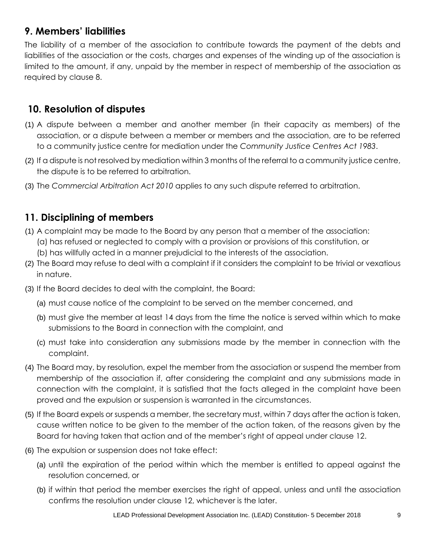## **9. Members' liabilities**

The liability of a member of the association to contribute towards the payment of the debts and liabilities of the association or the costs, charges and expenses of the winding up of the association is limited to the amount, if any, unpaid by the member in respect of membership of the association as required by clause 8.

#### **10. Resolution of disputes**

- (1) A dispute between a member and another member (in their capacity as members) of the association, or a dispute between a member or members and the association, are to be referred to a community justice centre for mediation under the *Community Justice Centres Act 1983*.
- (2) If a dispute is not resolved by mediation within 3 months of the referral to a community justice centre, the dispute is to be referred to arbitration.
- (3) The *Commercial Arbitration Act 2010* applies to any such dispute referred to arbitration.

#### **11. Disciplining of members**

- (1) A complaint may be made to the Board by any person that a member of the association:
	- (a) has refused or neglected to comply with a provision or provisions of this constitution, or (b) has willfully acted in a manner prejudicial to the interests of the association.
- (2) The Board may refuse to deal with a complaint if it considers the complaint to be trivial or vexatious in nature.
- (3) If the Board decides to deal with the complaint, the Board:
	- (a) must cause notice of the complaint to be served on the member concerned, and
	- (b) must give the member at least 14 days from the time the notice is served within which to make submissions to the Board in connection with the complaint, and
	- (c) must take into consideration any submissions made by the member in connection with the complaint.
- (4) The Board may, by resolution, expel the member from the association or suspend the member from membership of the association if, after considering the complaint and any submissions made in connection with the complaint, it is satisfied that the facts alleged in the complaint have been proved and the expulsion or suspension is warranted in the circumstances.
- (5) If the Board expels or suspends a member, the secretary must, within 7 days after the action is taken, cause written notice to be given to the member of the action taken, of the reasons given by the Board for having taken that action and of the member's right of appeal under clause 12.
- (6) The expulsion or suspension does not take effect:
	- (a) until the expiration of the period within which the member is entitled to appeal against the resolution concerned, or
	- (b) if within that period the member exercises the right of appeal, unless and until the association confirms the resolution under clause 12, whichever is the later.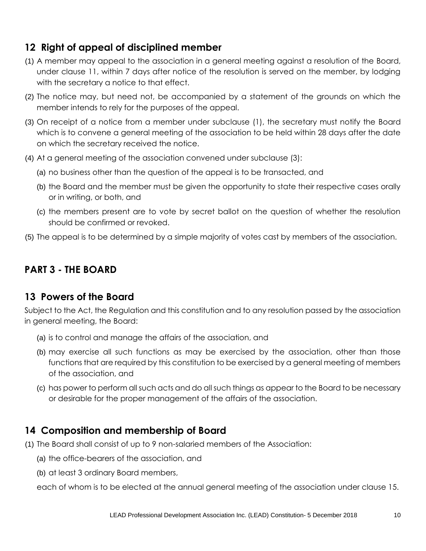## **12 Right of appeal of disciplined member**

- (1) A member may appeal to the association in a general meeting against a resolution of the Board, under clause 11, within 7 days after notice of the resolution is served on the member, by lodging with the secretary a notice to that effect.
- (2) The notice may, but need not, be accompanied by a statement of the grounds on which the member intends to rely for the purposes of the appeal.
- (3) On receipt of a notice from a member under subclause (1), the secretary must notify the Board which is to convene a general meeting of the association to be held within 28 days after the date on which the secretary received the notice.
- (4) At a general meeting of the association convened under subclause (3):
	- (a) no business other than the question of the appeal is to be transacted, and
	- (b) the Board and the member must be given the opportunity to state their respective cases orally or in writing, or both, and
	- (c) the members present are to vote by secret ballot on the question of whether the resolution should be confirmed or revoked.
- (5) The appeal is to be determined by a simple majority of votes cast by members of the association.

## **PART 3 - THE BOARD**

#### **13 Powers of the Board**

Subject to the Act, the Regulation and this constitution and to any resolution passed by the association in general meeting, the Board:

- (a) is to control and manage the affairs of the association, and
- (b) may exercise all such functions as may be exercised by the association, other than those functions that are required by this constitution to be exercised by a general meeting of members of the association, and
- (c) has power to perform all such acts and do all such things as appear to the Board to be necessary or desirable for the proper management of the affairs of the association.

#### **14 Composition and membership of Board**

- (1) The Board shall consist of up to 9 non-salaried members of the Association:
	- (a) the office-bearers of the association, and
	- (b) at least 3 ordinary Board members,

each of whom is to be elected at the annual general meeting of the association under clause 15.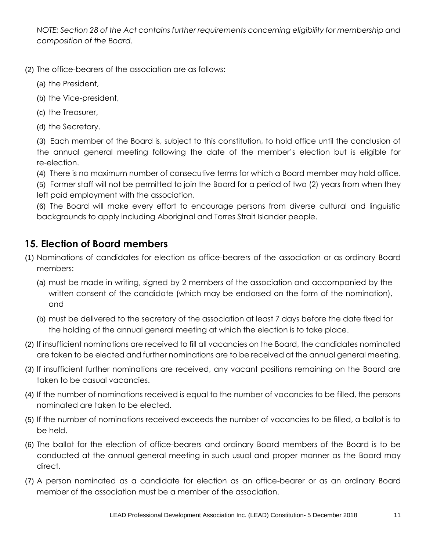*NOTE: Section 28 of the Act contains further requirements concerning eligibility for membership and composition of the Board.*

- (2) The office-bearers of the association are as follows:
	- (a) the President,
	- (b) the Vice-president,
	- (c) the Treasurer,
	- (d) the Secretary.

(3) Each member of the Board is, subject to this constitution, to hold office until the conclusion of the annual general meeting following the date of the member's election but is eligible for re-election.

(4) There is no maximum number of consecutive terms for which a Board member may hold office.

(5) Former staff will not be permitted to join the Board for a period of two (2) years from when they left paid employment with the association.

(6) The Board will make every effort to encourage persons from diverse cultural and linguistic backgrounds to apply including Aboriginal and Torres Strait Islander people.

#### **15. Election of Board members**

- (1) Nominations of candidates for election as office-bearers of the association or as ordinary Board members:
	- (a) must be made in writing, signed by 2 members of the association and accompanied by the written consent of the candidate (which may be endorsed on the form of the nomination), and
	- (b) must be delivered to the secretary of the association at least 7 days before the date fixed for the holding of the annual general meeting at which the election is to take place.
- (2) If insufficient nominations are received to fill all vacancies on the Board, the candidates nominated are taken to be elected and further nominations are to be received at the annual general meeting.
- (3) If insufficient further nominations are received, any vacant positions remaining on the Board are taken to be casual vacancies.
- (4) If the number of nominations received is equal to the number of vacancies to be filled, the persons nominated are taken to be elected.
- (5) If the number of nominations received exceeds the number of vacancies to be filled, a ballot is to be held.
- (6) The ballot for the election of office-bearers and ordinary Board members of the Board is to be conducted at the annual general meeting in such usual and proper manner as the Board may direct.
- (7) A person nominated as a candidate for election as an office-bearer or as an ordinary Board member of the association must be a member of the association.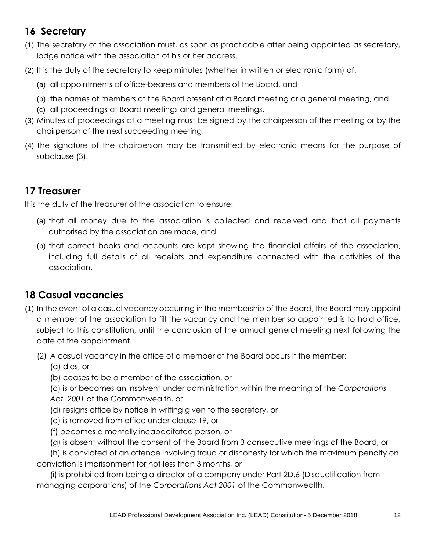## **16 Secretary**

- (1) The secretary of the association must, as soon as practicable after being appointed as secretary, lodge notice with the association of his or her address.
- (2) It is the duty of the secretary to keep minutes (whether in written or electronic form) of:
	- (a) all appointments of office-bearers and members of the Board, and
	- (b) the names of members of the Board present at a Board meeting or a general meeting, and
	- (c) all proceedings at Board meetings and general meetings.
- (3) Minutes of proceedings at a meeting must be signed by the chairperson of the meeting or by the chairperson of the next succeeding meeting.
- (4) The signature of the chairperson may be transmitted by electronic means for the purpose of subclause (3).

## **17 Treasurer**

It is the duty of the treasurer of the association to ensure:

- (a) that all money due to the association is collected and received and that all payments authorised by the association are made, and
- (b) that correct books and accounts are kept showing the financial affairs of the association, including full details of all receipts and expenditure connected with the activities of the association.

# **18 Casual vacancies**

(1) In the event of a casual vacancy occurring in the membership of the Board, the Board may appoint a member of the association to fill the vacancy and the member so appointed is to hold office, subject to this constitution, until the conclusion of the annual general meeting next following the date of the appointment.

(2) A casual vacancy in the office of a member of the Board occurs if the member:

(a) dies, or

- (b) ceases to be a member of the association, or
- (c) is or becomes an insolvent under administration within the meaning of the *[Corporations](http://www.comlaw.gov.au/)*
- *[Act 2001](http://www.comlaw.gov.au/)* of the Commonwealth, or
- (d) resigns office by notice in writing given to the secretary, or
- (e) is removed from office under clause 19, or
- (f) becomes a mentally incapacitated person, or
- (g) is absent without the consent of the Board from 3 consecutive meetings of the Board, or

(h) is convicted of an offence involving fraud or dishonesty for which the maximum penalty on conviction is imprisonment for not less than 3 months, or

(i) is prohibited from being a director of a company under Part 2D.6 (Disqualification from managing corporations) of the *[Corporations Act 2001](http://www.comlaw.gov.au/)* of the Commonwealth.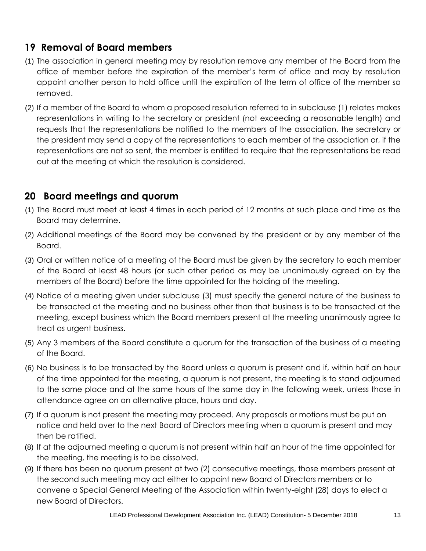## **19 Removal of Board members**

- (1) The association in general meeting may by resolution remove any member of the Board from the office of member before the expiration of the member's term of office and may by resolution appoint another person to hold office until the expiration of the term of office of the member so removed.
- (2) If a member of the Board to whom a proposed resolution referred to in subclause (1) relates makes representations in writing to the secretary or president (not exceeding a reasonable length) and requests that the representations be notified to the members of the association, the secretary or the president may send a copy of the representations to each member of the association or, if the representations are not so sent, the member is entitled to require that the representations be read out at the meeting at which the resolution is considered.

## **20 Board meetings and quorum**

- (1) The Board must meet at least 4 times in each period of 12 months at such place and time as the Board may determine.
- (2) Additional meetings of the Board may be convened by the president or by any member of the Board.
- (3) Oral or written notice of a meeting of the Board must be given by the secretary to each member of the Board at least 48 hours (or such other period as may be unanimously agreed on by the members of the Board) before the time appointed for the holding of the meeting.
- (4) Notice of a meeting given under subclause (3) must specify the general nature of the business to be transacted at the meeting and no business other than that business is to be transacted at the meeting, except business which the Board members present at the meeting unanimously agree to treat as urgent business.
- (5) Any 3 members of the Board constitute a quorum for the transaction of the business of a meeting of the Board.
- (6) No business is to be transacted by the Board unless a quorum is present and if, within half an hour of the time appointed for the meeting, a quorum is not present, the meeting is to stand adjourned to the same place and at the same hours of the same day in the following week, unless those in attendance agree on an alternative place, hours and day.
- (7) If a quorum is not present the meeting may proceed. Any proposals or motions must be put on notice and held over to the next Board of Directors meeting when a quorum is present and may then be ratified.
- (8) If at the adjourned meeting a quorum is not present within half an hour of the time appointed for the meeting, the meeting is to be dissolved.
- (9) If there has been no quorum present at two (2) consecutive meetings, those members present at the second such meeting may act either to appoint new Board of Directors members or to convene a Special General Meeting of the Association within twenty-eight (28) days to elect a new Board of Directors.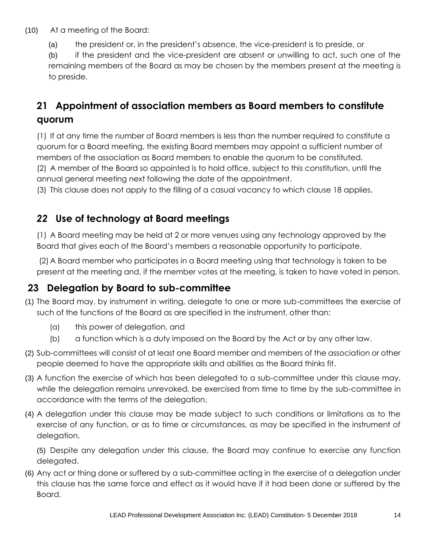- (10) At a meeting of the Board:
	- (a) the president or, in the president's absence, the vice-president is to preside, or

(b) if the president and the vice-president are absent or unwilling to act, such one of the remaining members of the Board as may be chosen by the members present at the meeting is to preside.

# **21 Appointment of association members as Board members to constitute quorum**

<span id="page-13-0"></span>(1) If at any time the number of Board members is less than the number required to constitute a quorum for a Board meeting, the existing Board members may appoint a sufficient number of members of the association as Board members to enable the quorum to be constituted. (2) A member of the Board so appointed is to hold office, subject to this constitution, until the annual general meeting next following the date of the appointment.

(3) This clause does not apply to the filling of a casual vacancy to which clause 18 applies.

## *22* **Use of technology at Board meetings**

<span id="page-13-1"></span>(1) A Board meeting may be held at 2 or more venues using any technology approved by the Board that gives each of the Board's members a reasonable opportunity to participate.

(2) A Board member who participates in a Board meeting using that technology is taken to be present at the meeting and, if the member votes at the meeting, is taken to have voted in person.

# **23 Delegation by Board to sub-committee**

- (1) The Board may, by instrument in writing, delegate to one or more sub-committees the exercise of such of the functions of the Board as are specified in the instrument, other than:
	- (a) this power of delegation, and
	- (b) a function which is a duty imposed on the Board by the Act or by any other law.
- (2) Sub-committees will consist of at least one Board member and members of the association or other people deemed to have the appropriate skills and abilities as the Board thinks fit.
- (3) A function the exercise of which has been delegated to a sub-committee under this clause may, while the delegation remains unrevoked, be exercised from time to time by the sub-committee in accordance with the terms of the delegation.
- (4) A delegation under this clause may be made subject to such conditions or limitations as to the exercise of any function, or as to time or circumstances, as may be specified in the instrument of delegation.

(5) Despite any delegation under this clause, the Board may continue to exercise any function delegated.

(6) Any act or thing done or suffered by a sub-committee acting in the exercise of a delegation under this clause has the same force and effect as it would have if it had been done or suffered by the Board.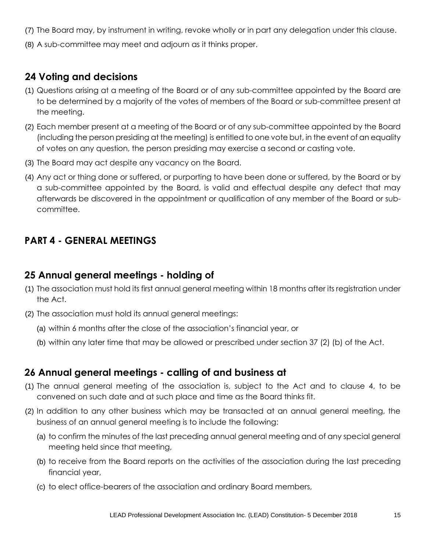- (7) The Board may, by instrument in writing, revoke wholly or in part any delegation under this clause.
- (8) A sub-committee may meet and adjourn as it thinks proper.

#### **24 Voting and decisions**

- (1) Questions arising at a meeting of the Board or of any sub-committee appointed by the Board are to be determined by a majority of the votes of members of the Board or sub-committee present at the meeting.
- (2) Each member present at a meeting of the Board or of any sub-committee appointed by the Board (including the person presiding at the meeting) is entitled to one vote but, in the event of an equality of votes on any question, the person presiding may exercise a second or casting vote.
- (3) The Board may act despite any vacancy on the Board.
- (4) Any act or thing done or suffered, or purporting to have been done or suffered, by the Board or by a sub-committee appointed by the Board, is valid and effectual despite any defect that may afterwards be discovered in the appointment or qualification of any member of the Board or subcommittee.

#### **PART 4 - GENERAL MEETINGS**

#### **25 Annual general meetings - holding of**

- (1) The association must hold its first annual general meeting within 18 months after its registration under the Act.
- (2) The association must hold its annual general meetings:
	- (a) within 6 months after the close of the association's financial year, or
	- (b) within any later time that may be allowed or prescribed under section 37 (2) (b) of the Act.

#### **26 Annual general meetings - calling of and business at**

- (1) The annual general meeting of the association is, subject to the Act and to clause 4, to be convened on such date and at such place and time as the Board thinks fit.
- (2) In addition to any other business which may be transacted at an annual general meeting, the business of an annual general meeting is to include the following:
	- (a) to confirm the minutes of the last preceding annual general meeting and of any special general meeting held since that meeting,
	- (b) to receive from the Board reports on the activities of the association during the last preceding financial year,
	- (c) to elect office-bearers of the association and ordinary Board members,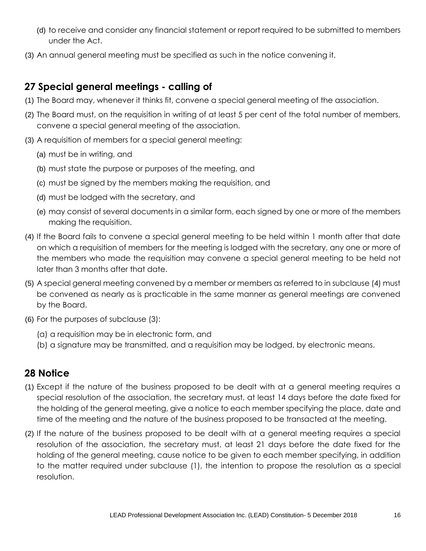- (d) to receive and consider any financial statement or report required to be submitted to members under the Act.
- (3) An annual general meeting must be specified as such in the notice convening it.

## **27 Special general meetings - calling of**

- (1) The Board may, whenever it thinks fit, convene a special general meeting of the association.
- (2) The Board must, on the requisition in writing of at least 5 per cent of the total number of members, convene a special general meeting of the association.
- (3) A requisition of members for a special general meeting:
	- (a) must be in writing, and
	- (b) must state the purpose or purposes of the meeting, and
	- (c) must be signed by the members making the requisition, and
	- (d) must be lodged with the secretary, and
	- (e) may consist of several documents in a similar form, each signed by one or more of the members making the requisition.
- (4) If the Board fails to convene a special general meeting to be held within 1 month after that date on which a requisition of members for the meeting is lodged with the secretary, any one or more of the members who made the requisition may convene a special general meeting to be held not later than 3 months after that date.
- (5) A special general meeting convened by a member or members as referred to in subclause (4) must be convened as nearly as is practicable in the same manner as general meetings are convened by the Board.
- (6) For the purposes of subclause (3):
	- (a) a requisition may be in electronic form, and
	- (b) a signature may be transmitted, and a requisition may be lodged, by electronic means.

#### **28 Notice**

- (1) Except if the nature of the business proposed to be dealt with at a general meeting requires a special resolution of the association, the secretary must, at least 14 days before the date fixed for the holding of the general meeting, give a notice to each member specifying the place, date and time of the meeting and the nature of the business proposed to be transacted at the meeting.
- (2) If the nature of the business proposed to be dealt with at a general meeting requires a special resolution of the association, the secretary must, at least 21 days before the date fixed for the holding of the general meeting, cause notice to be given to each member specifying, in addition to the matter required under subclause (1), the intention to propose the resolution as a special resolution.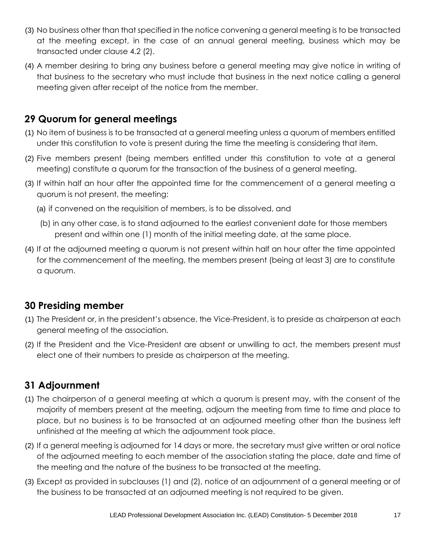- (3) No business other than that specified in the notice convening a general meeting is to be transacted at the meeting except, in the case of an annual general meeting, business which may be transacted under clause 4.2 (2).
- (4) A member desiring to bring any business before a general meeting may give notice in writing of that business to the secretary who must include that business in the next notice calling a general meeting given after receipt of the notice from the member.

#### **29 Quorum for general meetings**

- (1) No item of business is to be transacted at a general meeting unless a quorum of members entitled under this constitution to vote is present during the time the meeting is considering that item.
- (2) Five members present (being members entitled under this constitution to vote at a general meeting) constitute a quorum for the transaction of the business of a general meeting.
- (3) If within half an hour after the appointed time for the commencement of a general meeting a quorum is not present, the meeting:
	- (a) if convened on the requisition of members, is to be dissolved, and
	- (b) in any other case, is to stand adjourned to the earliest convenient date for those members present and within one (1) month of the initial meeting date, at the same place.
- (4) If at the adjourned meeting a quorum is not present within half an hour after the time appointed for the commencement of the meeting, the members present (being at least 3) are to constitute a quorum.

#### **30 Presiding member**

- (1) The President or, in the president's absence, the Vice-President, is to preside as chairperson at each general meeting of the association.
- (2) If the President and the Vice-President are absent or unwilling to act, the members present must elect one of their numbers to preside as chairperson at the meeting.

## **31 Adjournment**

- (1) The chairperson of a general meeting at which a quorum is present may, with the consent of the majority of members present at the meeting, adjourn the meeting from time to time and place to place, but no business is to be transacted at an adjourned meeting other than the business left unfinished at the meeting at which the adjournment took place.
- (2) If a general meeting is adjourned for 14 days or more, the secretary must give written or oral notice of the adjourned meeting to each member of the association stating the place, date and time of the meeting and the nature of the business to be transacted at the meeting.
- (3) Except as provided in subclauses (1) and (2), notice of an adjournment of a general meeting or of the business to be transacted at an adjourned meeting is not required to be given.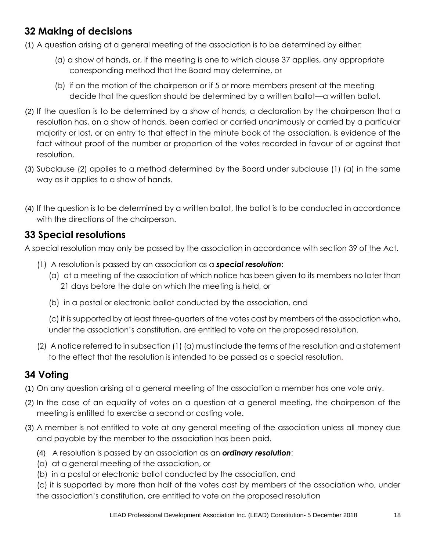## **32 Making of decisions**

(1) A question arising at a general meeting of the association is to be determined by either:

- (a) a show of hands, or, if the meeting is one to which clause 37 applies, any appropriate corresponding method that the Board may determine, or
- (b) if on the motion of the chairperson or if 5 or more members present at the meeting decide that the question should be determined by a written ballot—a written ballot.
- (2) If the question is to be determined by a show of hands, a declaration by the chairperson that a resolution has, on a show of hands, been carried or carried unanimously or carried by a particular majority or lost, or an entry to that effect in the minute book of the association, is evidence of the fact without proof of the number or proportion of the votes recorded in favour of or against that resolution.
- (3) Subclause (2) applies to a method determined by the Board under subclause (1) (a) in the same way as it applies to a show of hands.
- (4) If the question is to be determined by a written ballot, the ballot is to be conducted in accordance with the directions of the chairperson.

#### **33 Special resolutions**

A special resolution may only be passed by the association in accordance with section 39 of the Act.

- (1) A resolution is passed by an association as a *special resolution*:
	- (a) at a meeting of the association of which notice has been given to its members no later than 21 days before the date on which the meeting is held, or
	- (b) in a postal or electronic ballot conducted by the association, and

(c) it is supported by at least three-quarters of the votes cast by members of the association who, under the association's constitution, are entitled to vote on the proposed resolution.

(2) A notice referred to in subsection (1) (a) must include the terms of the resolution and a statement to the effect that the resolution is intended to be passed as a special resolution.

#### **34 Voting**

- (1) On any question arising at a general meeting of the association a member has one vote only.
- (2) In the case of an equality of votes on a question at a general meeting, the chairperson of the meeting is entitled to exercise a second or casting vote.
- (3) A member is not entitled to vote at any general meeting of the association unless all money due and payable by the member to the association has been paid.
	- (4) A resolution is passed by an association as an *ordinary resolution*:
	- (a) at a general meeting of the association, or
	- (b) in a postal or electronic ballot conducted by the association, and

(c) it is supported by more than half of the votes cast by members of the association who, under the association's constitution, are entitled to vote on the proposed resolution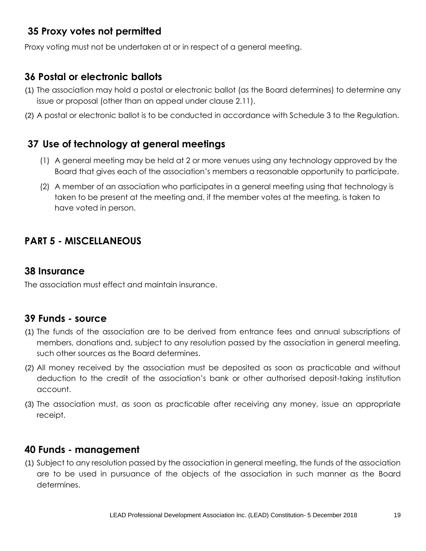## **35 Proxy votes not permitted**

Proxy voting must not be undertaken at or in respect of a general meeting.

#### **36 Postal or electronic ballots**

- (1) The association may hold a postal or electronic ballot (as the Board determines) to determine any issue or proposal (other than an appeal under clause 2.11).
- (2) A postal or electronic ballot is to be conducted in accordance with Schedule 3 to the Regulation.

## **37 Use of technology at general meetings**

- <span id="page-18-0"></span>(1) A general meeting may be held at 2 or more venues using any technology approved by the Board that gives each of the association's members a reasonable opportunity to participate.
- (2) A member of an association who participates in a general meeting using that technology is taken to be present at the meeting and, if the member votes at the meeting, is taken to have voted in person.

## **PART 5 - MISCELLANEOUS**

#### **38 Insurance**

The association must effect and maintain insurance.

#### **39 Funds - source**

- (1) The funds of the association are to be derived from entrance fees and annual subscriptions of members, donations and, subject to any resolution passed by the association in general meeting, such other sources as the Board determines.
- (2) All money received by the association must be deposited as soon as practicable and without deduction to the credit of the association's bank or other authorised deposit-taking institution account.
- (3) The association must, as soon as practicable after receiving any money, issue an appropriate receipt.

#### **40 Funds - management**

(1) Subject to any resolution passed by the association in general meeting, the funds of the association are to be used in pursuance of the objects of the association in such manner as the Board determines.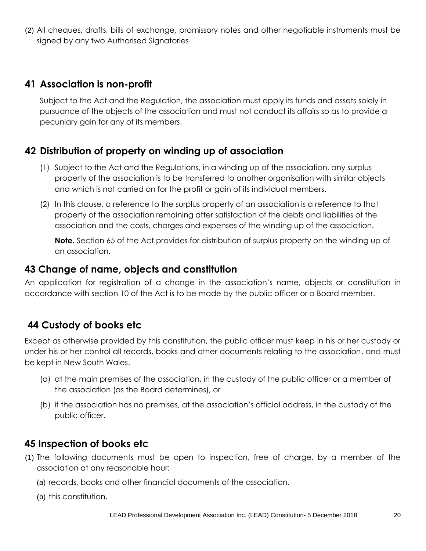(2) All cheques, drafts, bills of exchange, promissory notes and other negotiable instruments must be signed by any two Authorised Signatories

#### **41 Association is non-profit**

<span id="page-19-0"></span>Subject to the Act and the Regulation, the association must apply its funds and assets solely in pursuance of the objects of the association and must not conduct its affairs so as to provide a pecuniary gain for any of its members.

#### **42 Distribution of property on winding up of association**

- <span id="page-19-1"></span>(1) Subject to the Act and the Regulations, in a winding up of the association, any surplus property of the association is to be transferred to another organisation with similar objects and which is not carried on for the profit or gain of its individual members.
- (2) In this clause, a reference to the surplus property of an association is a reference to that property of the association remaining after satisfaction of the debts and liabilities of the association and the costs, charges and expenses of the winding up of the association.

**Note.** Section 65 of the Act provides for distribution of surplus property on the winding up of an association.

#### **43 Change of name, objects and constitution**

An application for registration of a change in the association's name, objects or constitution in accordance with section 10 of the Act is to be made by the public officer or a Board member.

#### **44 Custody of books etc**

Except as otherwise provided by this constitution, the public officer must keep in his or her custody or under his or her control all records, books and other documents relating to the association, and must be kept in New South Wales.

- (a) at the main premises of the association, in the custody of the public officer or a member of the association (as the Board determines), or
- (b) if the association has no premises, at the association's official address, in the custody of the public officer.

#### **45 Inspection of books etc**

- (1) The following documents must be open to inspection, free of charge, by a member of the association at any reasonable hour:
	- (a) records, books and other financial documents of the association,
	- (b) this constitution,